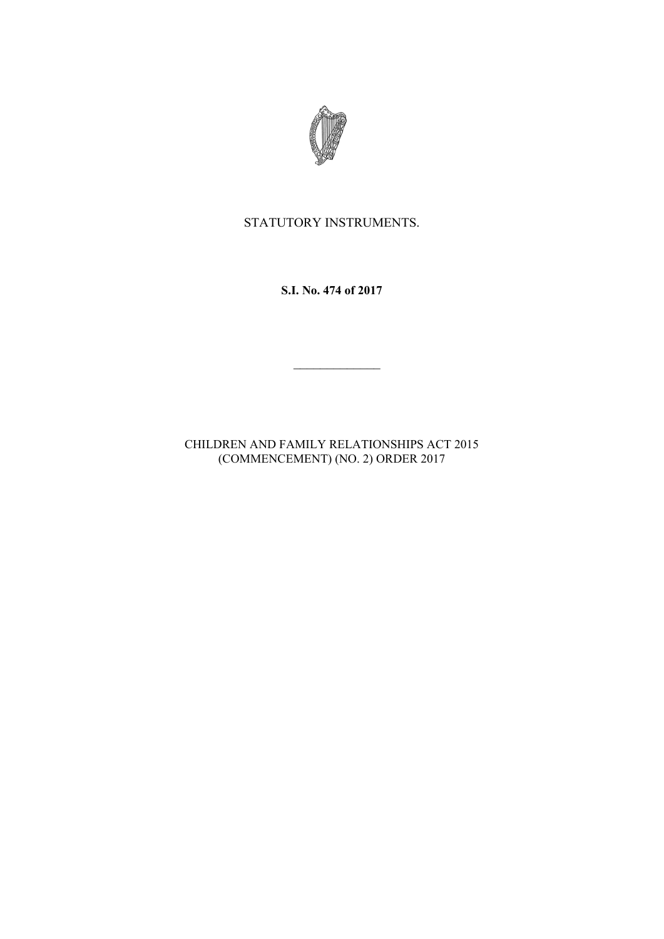

## STATUTORY INSTRUMENTS.

**S.I. No. 474 of 2017**

CHILDREN AND FAMILY RELATIONSHIPS ACT 2015 (COMMENCEMENT) (NO. 2) ORDER 2017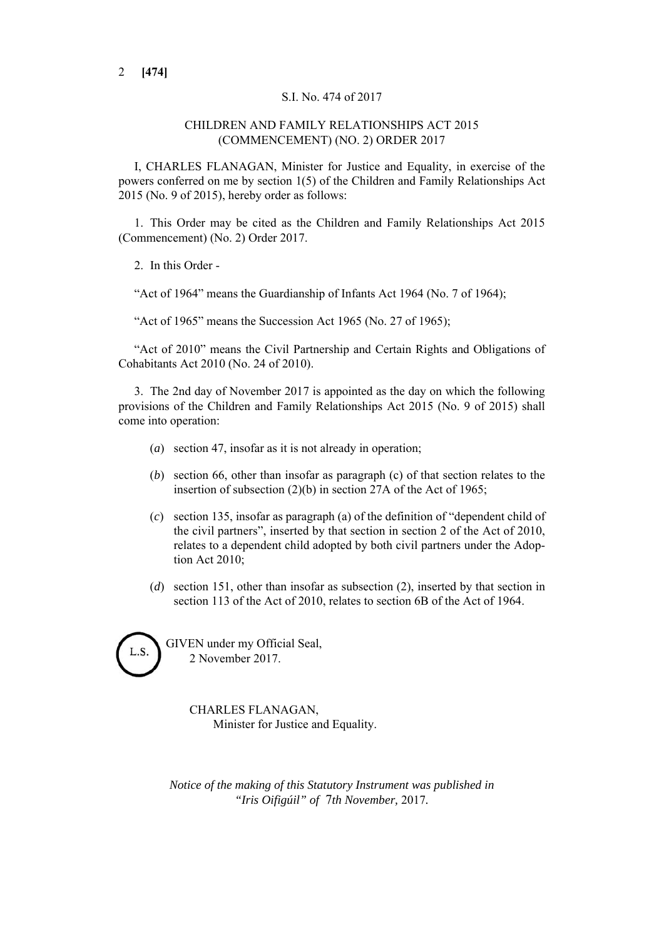## S.I. No. 474 of 2017

## CHILDREN AND FAMILY RELATIONSHIPS ACT 2015 (COMMENCEMENT) (NO. 2) ORDER 2017

I, CHARLES FLANAGAN, Minister for Justice and Equality, in exercise of the powers conferred on me by section 1(5) of the Children and Family Relationships Act 2015 (No. 9 of 2015), hereby order as follows:

1. This Order may be cited as the Children and Family Relationships Act 2015 (Commencement) (No. 2) Order 2017.

2. In this Order -

"Act of 1964" means the Guardianship of Infants Act 1964 (No. 7 of 1964);

"Act of 1965" means the Succession Act 1965 (No. 27 of 1965);

"Act of 2010" means the Civil Partnership and Certain Rights and Obligations of Cohabitants Act 2010 (No. 24 of 2010).

3. The 2nd day of November 2017 is appointed as the day on which the following provisions of the Children and Family Relationships Act 2015 (No. 9 of 2015) shall come into operation:

- (*a*) section 47, insofar as it is not already in operation;
- (*b*) section 66, other than insofar as paragraph (c) of that section relates to the insertion of subsection (2)(b) in section 27A of the Act of 1965;
- (*c*) section 135, insofar as paragraph (a) of the definition of "dependent child of the civil partners", inserted by that section in section 2 of the Act of 2010, relates to a dependent child adopted by both civil partners under the Adoption Act 2010;
- (*d*) section 151, other than insofar as subsection (2), inserted by that section in section 113 of the Act of 2010, relates to section 6B of the Act of 1964.

GIVEN under my Official Seal, 2 November 2017.

> CHARLES FLANAGAN, Minister for Justice and Equality.

*Notice of the making of this Statutory Instrument was published in "Iris Oifigúil" of* 7*th November,* 2017*.*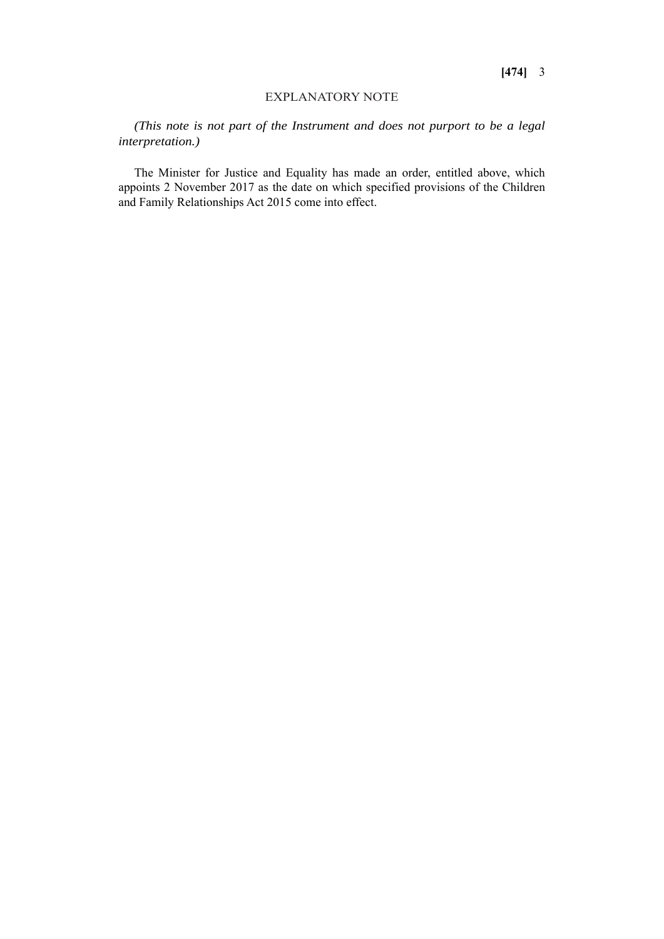## EXPLANATORY NOTE

*(This note is not part of the Instrument and does not purport to be a legal interpretation.)*

The Minister for Justice and Equality has made an order, entitled above, which appoints 2 November 2017 as the date on which specified provisions of the Children and Family Relationships Act 2015 come into effect.